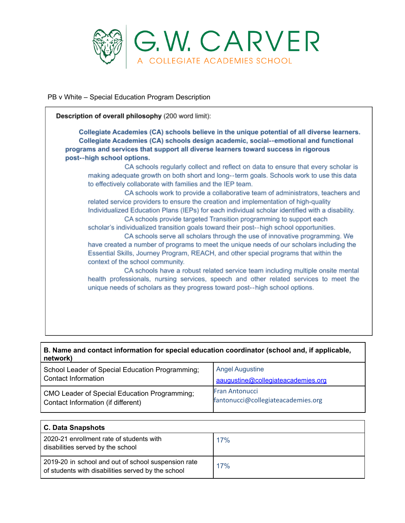

PB v White – Special Education Program Description

Description of overall philosophy (200 word limit): Collegiate Academies (CA) schools believe in the unique potential of all diverse learners. Collegiate Academies (CA) schools design academic, social--emotional and functional programs and services that support all diverse learners toward success in rigorous post--high school options. CA schools regularly collect and reflect on data to ensure that every scholar is making adequate growth on both short and long--term goals. Schools work to use this data to effectively collaborate with families and the IEP team. CA schools work to provide a collaborative team of administrators, teachers and related service providers to ensure the creation and implementation of high-quality Individualized Education Plans (IEPs) for each individual scholar identified with a disability. CA schools provide targeted Transition programming to support each scholar's individualized transition goals toward their post--high school opportunities. CA schools serve all scholars through the use of innovative programming. We have created a number of programs to meet the unique needs of our scholars including the Essential Skills, Journey Program, REACH, and other special programs that within the context of the school community. CA schools have a robust related service team including multiple onsite mental health professionals, nursing services, speech and other related services to meet the unique needs of scholars as they progress toward post--high school options.

|          | B. Name and contact information for special education coordinator (school and, if applicable, |
|----------|-----------------------------------------------------------------------------------------------|
| network) |                                                                                               |

| School Leader of Special Education Programming; | Angel Augustine                    |
|-------------------------------------------------|------------------------------------|
| Contact Information                             | aaugustine@collegiateacademies.org |
| CMO Leader of Special Education Programming;    | <b>Fran Antonucci</b>              |
| Contact Information (if different)              | fantonucci@collegiateacademies.org |

| C. Data Snapshots                                                                                         |     |
|-----------------------------------------------------------------------------------------------------------|-----|
| 2020-21 enrollment rate of students with<br>disabilities served by the school                             | 17% |
| 2019-20 in school and out of school suspension rate<br>of students with disabilities served by the school | 17% |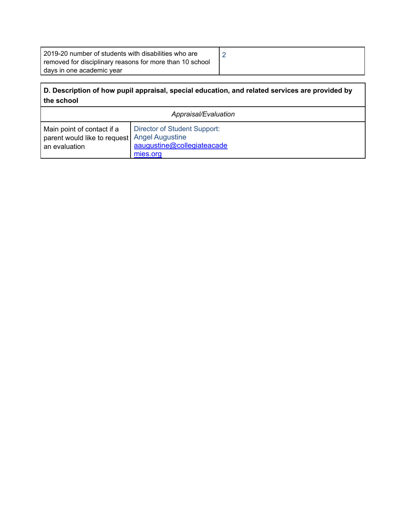| I 2019-20 number of students with disabilities who are   |  |
|----------------------------------------------------------|--|
| removed for disciplinary reasons for more than 10 school |  |
| days in one academic year                                |  |

## **D. Description of how pupil appraisal, special education, and related services are provided by the school**

| Appraisal/Evaluation                         |                              |
|----------------------------------------------|------------------------------|
| Main point of contact if a                   | Director of Student Support: |
| parent would like to request Angel Augustine | aaugustine@collegiateacade   |
| an evaluation                                | mies.org                     |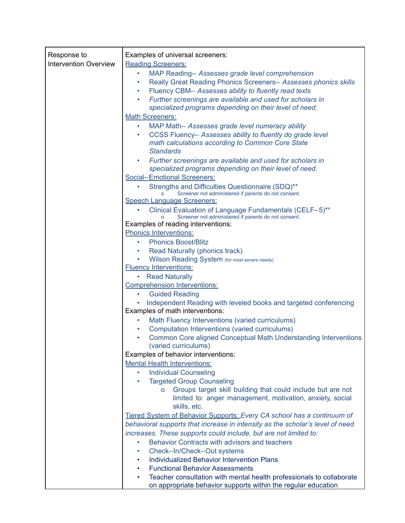| Response to                  | Examples of universal screeners:                                                                                                 |
|------------------------------|----------------------------------------------------------------------------------------------------------------------------------|
| <b>Intervention Overview</b> | <b>Reading Screeners:</b>                                                                                                        |
|                              | MAP Reading-- Assesses grade level comprehension<br>٠                                                                            |
|                              | Really Great Reading Phonics Screeners-- Assesses phonics skills<br>٠                                                            |
|                              | Fluency CBM-- Assesses ability to fluently read texts                                                                            |
|                              | Further screenings are available and used for scholars in<br>٠                                                                   |
|                              | specialized programs depending on their level of need.                                                                           |
|                              | <b>Math Screeners:</b>                                                                                                           |
|                              | MAP Math-- Assesses grade level numeracy ability<br>$\bullet$                                                                    |
|                              | CCSS Fluency-- Assesses ability to fluently do grade level<br>٠                                                                  |
|                              | math calculations according to Common Core State                                                                                 |
|                              | <b>Standards</b>                                                                                                                 |
|                              | Further screenings are available and used for scholars in<br>$\bullet$<br>specialized programs depending on their level of need. |
|                              | Social--Emotional Screeners:                                                                                                     |
|                              | Strengths and Difficulties Questionnaire (SDQ)**                                                                                 |
|                              | Screener not administered if parents do not consent.                                                                             |
|                              | <b>Speech Language Screeners:</b>                                                                                                |
|                              | Clinical Evaluation of Language Fundamentals (CELF--5)**<br>Screener not administered if parents do not consent.<br>o            |
|                              | Examples of reading interventions:                                                                                               |
|                              | <b>Phonics Interventions:</b>                                                                                                    |
|                              | <b>Phonics Boost/Blitz</b>                                                                                                       |
|                              | Read Naturally (phonics track)<br>٠                                                                                              |
|                              | Wilson Reading System (for most severe needs)                                                                                    |
|                              | <b>Fluency Interventions:</b>                                                                                                    |
|                              | <b>Read Naturally</b><br>$\bullet$                                                                                               |
|                              | <b>Comprehension Interventions:</b>                                                                                              |
|                              | <b>Guided Reading</b><br>٠                                                                                                       |
|                              | Independent Reading with leveled books and targeted conferencing                                                                 |
|                              | Examples of math interventions:                                                                                                  |
|                              | Math Fluency Interventions (varied curriculums)<br>۰                                                                             |
|                              | Computation Interventions (varied curriculums)<br>$\bullet$                                                                      |
|                              | Common Core aligned Conceptual Math Understanding Interventions<br>٠<br>(varied curriculums)                                     |
|                              | Examples of behavior interventions:                                                                                              |
|                              | <b>Mental Health Interventions:</b>                                                                                              |
|                              | <b>Individual Counseling</b>                                                                                                     |
|                              | <b>Targeted Group Counseling</b><br>٠                                                                                            |
|                              | Groups target skill building that could include but are not                                                                      |
|                              | limited to: anger management, motivation, anxiety, social                                                                        |
|                              | skills, etc.                                                                                                                     |
|                              | Tiered System of Behavior Supports: Every CA school has a continuum of                                                           |
|                              | behavioral supports that increase in intensity as the scholar's level of need                                                    |
|                              | increases. These supports could include, but are not limited to:                                                                 |
|                              | Behavior Contracts with advisors and teachers<br>۰                                                                               |
|                              | Check--In/Check--Out systems                                                                                                     |
|                              | <b>Individualized Behavior Intervention Plans</b><br>٠                                                                           |
|                              | <b>Functional Behavior Assessments</b><br>$\bullet$                                                                              |
|                              | Teacher consultation with mental health professionals to collaborate<br>$\bullet$                                                |
|                              | on appropriate behavior supports within the regular education                                                                    |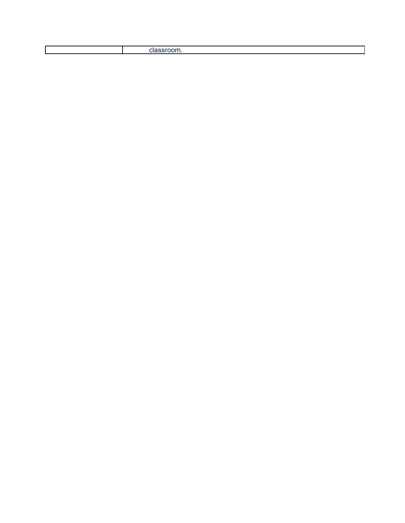|  |  | ----<br>ulabu |
|--|--|---------------|
|--|--|---------------|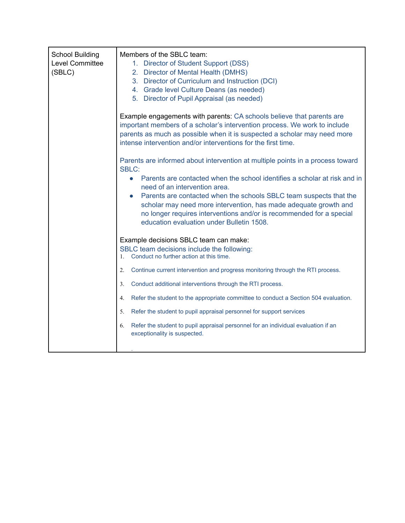| <b>School Building</b><br>Level Committee<br>(SBLC) | Members of the SBLC team:<br>1. Director of Student Support (DSS)<br>2. Director of Mental Health (DMHS)<br>3. Director of Curriculum and Instruction (DCI)<br>4. Grade level Culture Deans (as needed)<br>5. Director of Pupil Appraisal (as needed)<br>Example engagements with parents: CA schools believe that parents are<br>important members of a scholar's intervention process. We work to include<br>parents as much as possible when it is suspected a scholar may need more<br>intense intervention and/or interventions for the first time.<br>Parents are informed about intervention at multiple points in a process toward<br><b>SBLC:</b><br>Parents are contacted when the school identifies a scholar at risk and in<br>$\bullet$<br>need of an intervention area.<br>Parents are contacted when the schools SBLC team suspects that the<br>$\bullet$<br>scholar may need more intervention, has made adequate growth and<br>no longer requires interventions and/or is recommended for a special<br>education evaluation under Bulletin 1508. |
|-----------------------------------------------------|-------------------------------------------------------------------------------------------------------------------------------------------------------------------------------------------------------------------------------------------------------------------------------------------------------------------------------------------------------------------------------------------------------------------------------------------------------------------------------------------------------------------------------------------------------------------------------------------------------------------------------------------------------------------------------------------------------------------------------------------------------------------------------------------------------------------------------------------------------------------------------------------------------------------------------------------------------------------------------------------------------------------------------------------------------------------|
|                                                     | Example decisions SBLC team can make:<br>SBLC team decisions include the following:<br>Conduct no further action at this time.                                                                                                                                                                                                                                                                                                                                                                                                                                                                                                                                                                                                                                                                                                                                                                                                                                                                                                                                    |
|                                                     | Continue current intervention and progress monitoring through the RTI process.<br>2.                                                                                                                                                                                                                                                                                                                                                                                                                                                                                                                                                                                                                                                                                                                                                                                                                                                                                                                                                                              |
|                                                     | Conduct additional interventions through the RTI process.<br>3.                                                                                                                                                                                                                                                                                                                                                                                                                                                                                                                                                                                                                                                                                                                                                                                                                                                                                                                                                                                                   |
|                                                     | Refer the student to the appropriate committee to conduct a Section 504 evaluation.<br>$4_{\cdot}$                                                                                                                                                                                                                                                                                                                                                                                                                                                                                                                                                                                                                                                                                                                                                                                                                                                                                                                                                                |
|                                                     | Refer the student to pupil appraisal personnel for support services<br>5.                                                                                                                                                                                                                                                                                                                                                                                                                                                                                                                                                                                                                                                                                                                                                                                                                                                                                                                                                                                         |
|                                                     | Refer the student to pupil appraisal personnel for an individual evaluation if an<br>6.<br>exceptionality is suspected.                                                                                                                                                                                                                                                                                                                                                                                                                                                                                                                                                                                                                                                                                                                                                                                                                                                                                                                                           |
|                                                     |                                                                                                                                                                                                                                                                                                                                                                                                                                                                                                                                                                                                                                                                                                                                                                                                                                                                                                                                                                                                                                                                   |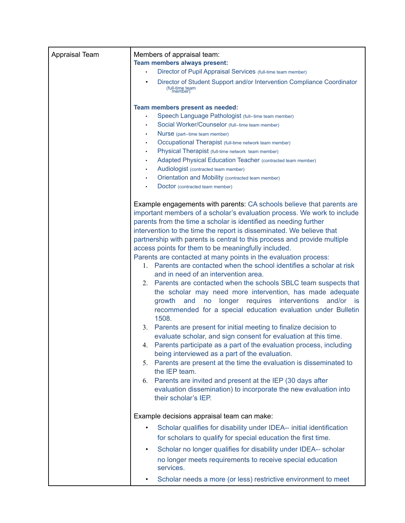| Appraisal Team | Members of appraisal team:<br>Team members always present:<br>Director of Pupil Appraisal Services (full-time team member)                                                                                                                                                                                                                                                                                                                                                                                                                                                                                                                                                                                                                                                                                                                                                                                                                                                                                                                                                                                                                                                                                                                                                                                                                                                                                                             |
|----------------|----------------------------------------------------------------------------------------------------------------------------------------------------------------------------------------------------------------------------------------------------------------------------------------------------------------------------------------------------------------------------------------------------------------------------------------------------------------------------------------------------------------------------------------------------------------------------------------------------------------------------------------------------------------------------------------------------------------------------------------------------------------------------------------------------------------------------------------------------------------------------------------------------------------------------------------------------------------------------------------------------------------------------------------------------------------------------------------------------------------------------------------------------------------------------------------------------------------------------------------------------------------------------------------------------------------------------------------------------------------------------------------------------------------------------------------|
|                |                                                                                                                                                                                                                                                                                                                                                                                                                                                                                                                                                                                                                                                                                                                                                                                                                                                                                                                                                                                                                                                                                                                                                                                                                                                                                                                                                                                                                                        |
|                | Director of Student Support and/or Intervention Compliance Coordinator<br>(full-time team<br>member)                                                                                                                                                                                                                                                                                                                                                                                                                                                                                                                                                                                                                                                                                                                                                                                                                                                                                                                                                                                                                                                                                                                                                                                                                                                                                                                                   |
|                | Team members present as needed:                                                                                                                                                                                                                                                                                                                                                                                                                                                                                                                                                                                                                                                                                                                                                                                                                                                                                                                                                                                                                                                                                                                                                                                                                                                                                                                                                                                                        |
|                | Speech Language Pathologist (full--time team member)                                                                                                                                                                                                                                                                                                                                                                                                                                                                                                                                                                                                                                                                                                                                                                                                                                                                                                                                                                                                                                                                                                                                                                                                                                                                                                                                                                                   |
|                | Social Worker/Counselor (full--time team member)                                                                                                                                                                                                                                                                                                                                                                                                                                                                                                                                                                                                                                                                                                                                                                                                                                                                                                                                                                                                                                                                                                                                                                                                                                                                                                                                                                                       |
|                | Nurse (part--time team member)                                                                                                                                                                                                                                                                                                                                                                                                                                                                                                                                                                                                                                                                                                                                                                                                                                                                                                                                                                                                                                                                                                                                                                                                                                                                                                                                                                                                         |
|                | Occupational Therapist (full-time network team member)                                                                                                                                                                                                                                                                                                                                                                                                                                                                                                                                                                                                                                                                                                                                                                                                                                                                                                                                                                                                                                                                                                                                                                                                                                                                                                                                                                                 |
|                | Physical Therapist (full-time network team member)<br>$\bullet$                                                                                                                                                                                                                                                                                                                                                                                                                                                                                                                                                                                                                                                                                                                                                                                                                                                                                                                                                                                                                                                                                                                                                                                                                                                                                                                                                                        |
|                | Adapted Physical Education Teacher (contracted team member)<br>٠                                                                                                                                                                                                                                                                                                                                                                                                                                                                                                                                                                                                                                                                                                                                                                                                                                                                                                                                                                                                                                                                                                                                                                                                                                                                                                                                                                       |
|                | Audiologist (contracted team member)                                                                                                                                                                                                                                                                                                                                                                                                                                                                                                                                                                                                                                                                                                                                                                                                                                                                                                                                                                                                                                                                                                                                                                                                                                                                                                                                                                                                   |
|                | Orientation and Mobility (contracted team member)                                                                                                                                                                                                                                                                                                                                                                                                                                                                                                                                                                                                                                                                                                                                                                                                                                                                                                                                                                                                                                                                                                                                                                                                                                                                                                                                                                                      |
|                | Doctor (contracted team member)                                                                                                                                                                                                                                                                                                                                                                                                                                                                                                                                                                                                                                                                                                                                                                                                                                                                                                                                                                                                                                                                                                                                                                                                                                                                                                                                                                                                        |
|                | Example engagements with parents: CA schools believe that parents are<br>important members of a scholar's evaluation process. We work to include<br>parents from the time a scholar is identified as needing further<br>intervention to the time the report is disseminated. We believe that<br>partnership with parents is central to this process and provide multiple<br>access points for them to be meaningfully included.<br>Parents are contacted at many points in the evaluation process:<br>1. Parents are contacted when the school identifies a scholar at risk<br>and in need of an intervention area.<br>2. Parents are contacted when the schools SBLC team suspects that<br>the scholar may need more intervention, has made adequate<br>no longer requires interventions<br>growth<br>and<br>and/or<br>is is<br>recommended for a special education evaluation under Bulletin<br>1508.<br>Parents are present for initial meeting to finalize decision to<br>3.<br>evaluate scholar, and sign consent for evaluation at this time.<br>4. Parents participate as a part of the evaluation process, including<br>being interviewed as a part of the evaluation.<br>Parents are present at the time the evaluation is disseminated to<br>5.<br>the IEP team.<br>6. Parents are invited and present at the IEP (30 days after<br>evaluation dissemination) to incorporate the new evaluation into<br>their scholar's IEP. |
|                | Example decisions appraisal team can make:                                                                                                                                                                                                                                                                                                                                                                                                                                                                                                                                                                                                                                                                                                                                                                                                                                                                                                                                                                                                                                                                                                                                                                                                                                                                                                                                                                                             |
|                | Scholar qualifies for disability under IDEA-- initial identification                                                                                                                                                                                                                                                                                                                                                                                                                                                                                                                                                                                                                                                                                                                                                                                                                                                                                                                                                                                                                                                                                                                                                                                                                                                                                                                                                                   |
|                | for scholars to qualify for special education the first time.                                                                                                                                                                                                                                                                                                                                                                                                                                                                                                                                                                                                                                                                                                                                                                                                                                                                                                                                                                                                                                                                                                                                                                                                                                                                                                                                                                          |
|                |                                                                                                                                                                                                                                                                                                                                                                                                                                                                                                                                                                                                                                                                                                                                                                                                                                                                                                                                                                                                                                                                                                                                                                                                                                                                                                                                                                                                                                        |
|                | Scholar no longer qualifies for disability under IDEA-- scholar<br>$\bullet$                                                                                                                                                                                                                                                                                                                                                                                                                                                                                                                                                                                                                                                                                                                                                                                                                                                                                                                                                                                                                                                                                                                                                                                                                                                                                                                                                           |
|                | no longer meets requirements to receive special education<br>services.                                                                                                                                                                                                                                                                                                                                                                                                                                                                                                                                                                                                                                                                                                                                                                                                                                                                                                                                                                                                                                                                                                                                                                                                                                                                                                                                                                 |
|                | Scholar needs a more (or less) restrictive environment to meet                                                                                                                                                                                                                                                                                                                                                                                                                                                                                                                                                                                                                                                                                                                                                                                                                                                                                                                                                                                                                                                                                                                                                                                                                                                                                                                                                                         |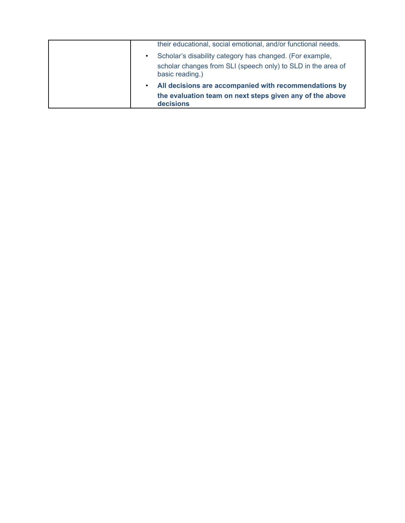| basic reading.)<br>All decisions are accompanied with recommendations by<br>$\bullet$<br>the evaluation team on next steps given any of the above<br>decisions                                         |
|--------------------------------------------------------------------------------------------------------------------------------------------------------------------------------------------------------|
| their educational, social emotional, and/or functional needs.<br>Scholar's disability category has changed. (For example,<br>$\bullet$<br>scholar changes from SLI (speech only) to SLD in the area of |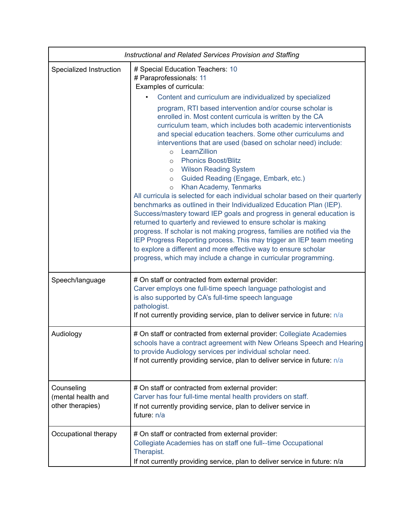|                                                      | Instructional and Related Services Provision and Staffing                                                                                                                                                                                                                                                                                                                                                                                                                                                                                                                                                                                                                                                                                                                                                                                                                                                                                                                                                                                                                                                                                                                                 |  |
|------------------------------------------------------|-------------------------------------------------------------------------------------------------------------------------------------------------------------------------------------------------------------------------------------------------------------------------------------------------------------------------------------------------------------------------------------------------------------------------------------------------------------------------------------------------------------------------------------------------------------------------------------------------------------------------------------------------------------------------------------------------------------------------------------------------------------------------------------------------------------------------------------------------------------------------------------------------------------------------------------------------------------------------------------------------------------------------------------------------------------------------------------------------------------------------------------------------------------------------------------------|--|
| Specialized Instruction                              | # Special Education Teachers: 10<br># Paraprofessionals: 11<br>Examples of curricula:                                                                                                                                                                                                                                                                                                                                                                                                                                                                                                                                                                                                                                                                                                                                                                                                                                                                                                                                                                                                                                                                                                     |  |
|                                                      | Content and curriculum are individualized by specialized<br>program, RTI based intervention and/or course scholar is<br>enrolled in. Most content curricula is written by the CA<br>curriculum team, which includes both academic interventionists<br>and special education teachers. Some other curriculums and<br>interventions that are used (based on scholar need) include:<br>LearnZillion<br>$\circ$<br><b>Phonics Boost/Blitz</b><br>$\circ$<br><b>Wilson Reading System</b><br>$\circ$<br>Guided Reading (Engage, Embark, etc.)<br>$\circ$<br>Khan Academy, Tenmarks<br>$\circ$<br>All curricula is selected for each individual scholar based on their quarterly<br>benchmarks as outlined in their Individualized Education Plan (IEP).<br>Success/mastery toward IEP goals and progress in general education is<br>returned to quarterly and reviewed to ensure scholar is making<br>progress. If scholar is not making progress, families are notified via the<br>IEP Progress Reporting process. This may trigger an IEP team meeting<br>to explore a different and more effective way to ensure scholar<br>progress, which may include a change in curricular programming. |  |
| Speech/language                                      | # On staff or contracted from external provider:<br>Carver employs one full-time speech language pathologist and<br>is also supported by CA's full-time speech language<br>pathologist.<br>If not currently providing service, plan to deliver service in future: n/a                                                                                                                                                                                                                                                                                                                                                                                                                                                                                                                                                                                                                                                                                                                                                                                                                                                                                                                     |  |
| Audiology                                            | # On staff or contracted from external provider: Collegiate Academies<br>schools have a contract agreement with New Orleans Speech and Hearing<br>to provide Audiology services per individual scholar need.<br>If not currently providing service, plan to deliver service in future: n/a                                                                                                                                                                                                                                                                                                                                                                                                                                                                                                                                                                                                                                                                                                                                                                                                                                                                                                |  |
| Counseling<br>(mental health and<br>other therapies) | # On staff or contracted from external provider:<br>Carver has four full-time mental health providers on staff.<br>If not currently providing service, plan to deliver service in<br>future n/a                                                                                                                                                                                                                                                                                                                                                                                                                                                                                                                                                                                                                                                                                                                                                                                                                                                                                                                                                                                           |  |
| Occupational therapy                                 | # On staff or contracted from external provider:<br>Collegiate Academies has on staff one full--time Occupational<br>Therapist.<br>If not currently providing service, plan to deliver service in future: n/a                                                                                                                                                                                                                                                                                                                                                                                                                                                                                                                                                                                                                                                                                                                                                                                                                                                                                                                                                                             |  |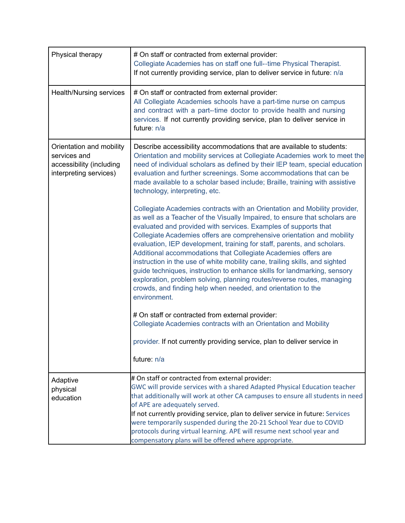| Physical therapy                                                                               | # On staff or contracted from external provider:<br>Collegiate Academies has on staff one full--time Physical Therapist.<br>If not currently providing service, plan to deliver service in future: n/a                                                                                                                                                                                                                                                                                                                                                                                                                                                                                                                                                                 |
|------------------------------------------------------------------------------------------------|------------------------------------------------------------------------------------------------------------------------------------------------------------------------------------------------------------------------------------------------------------------------------------------------------------------------------------------------------------------------------------------------------------------------------------------------------------------------------------------------------------------------------------------------------------------------------------------------------------------------------------------------------------------------------------------------------------------------------------------------------------------------|
| <b>Health/Nursing services</b>                                                                 | # On staff or contracted from external provider:<br>All Collegiate Academies schools have a part-time nurse on campus<br>and contract with a part--time doctor to provide health and nursing<br>services. If not currently providing service, plan to deliver service in<br>future: n/a                                                                                                                                                                                                                                                                                                                                                                                                                                                                                |
| Orientation and mobility<br>services and<br>accessibility (including<br>interpreting services) | Describe accessibility accommodations that are available to students:<br>Orientation and mobility services at Collegiate Academies work to meet the<br>need of individual scholars as defined by their IEP team, special education<br>evaluation and further screenings. Some accommodations that can be<br>made available to a scholar based include; Braille, training with assistive<br>technology, interpreting, etc.                                                                                                                                                                                                                                                                                                                                              |
|                                                                                                | Collegiate Academies contracts with an Orientation and Mobility provider,<br>as well as a Teacher of the Visually Impaired, to ensure that scholars are<br>evaluated and provided with services. Examples of supports that<br>Collegiate Academies offers are comprehensive orientation and mobility<br>evaluation, IEP development, training for staff, parents, and scholars.<br>Additional accommodations that Collegiate Academies offers are<br>instruction in the use of white mobility cane, trailing skills, and sighted<br>guide techniques, instruction to enhance skills for landmarking, sensory<br>exploration, problem solving, planning routes/reverse routes, managing<br>crowds, and finding help when needed, and orientation to the<br>environment. |
|                                                                                                | # On staff or contracted from external provider:<br>Collegiate Academies contracts with an Orientation and Mobility                                                                                                                                                                                                                                                                                                                                                                                                                                                                                                                                                                                                                                                    |
|                                                                                                | provider. If not currently providing service, plan to deliver service in<br>future: n/a                                                                                                                                                                                                                                                                                                                                                                                                                                                                                                                                                                                                                                                                                |
| Adaptive<br>physical<br>education                                                              | # On staff or contracted from external provider:<br>GWC will provide services with a shared Adapted Physical Education teacher<br>that additionally will work at other CA campuses to ensure all students in need<br>of APE are adequately served.<br>If not currently providing service, plan to deliver service in future: Services<br>were temporarily suspended during the 20-21 School Year due to COVID<br>protocols during virtual learning. APE will resume next school year and<br>compensatory plans will be offered where appropriate.                                                                                                                                                                                                                      |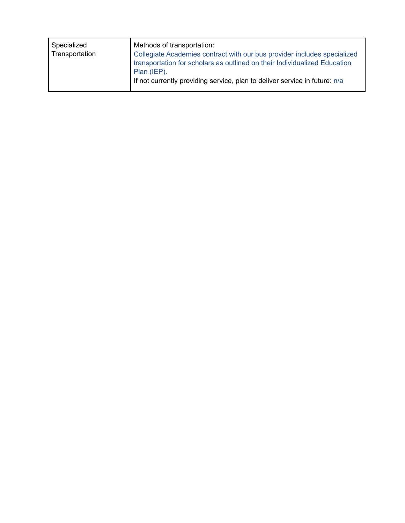| Specialized<br>Transportation | Methods of transportation:<br>Collegiate Academies contract with our bus provider includes specialized<br>transportation for scholars as outlined on their Individualized Education<br>Plan (IEP).<br>If not currently providing service, plan to deliver service in future: n/a |
|-------------------------------|----------------------------------------------------------------------------------------------------------------------------------------------------------------------------------------------------------------------------------------------------------------------------------|
|                               |                                                                                                                                                                                                                                                                                  |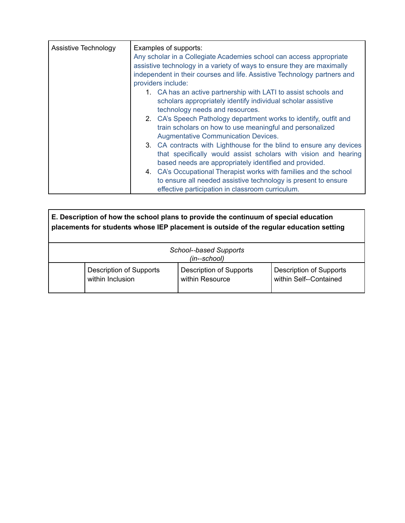| Assistive Technology | Examples of supports:<br>Any scholar in a Collegiate Academies school can access appropriate<br>assistive technology in a variety of ways to ensure they are maximally<br>independent in their courses and life. Assistive Technology partners and<br>providers include: |                                                                                                                                                                                                                                                                                                                                                   |
|----------------------|--------------------------------------------------------------------------------------------------------------------------------------------------------------------------------------------------------------------------------------------------------------------------|---------------------------------------------------------------------------------------------------------------------------------------------------------------------------------------------------------------------------------------------------------------------------------------------------------------------------------------------------|
|                      |                                                                                                                                                                                                                                                                          | 1. CA has an active partnership with LATI to assist schools and<br>scholars appropriately identify individual scholar assistive<br>technology needs and resources.<br>2. CA's Speech Pathology department works to identify, outfit and<br>train scholars on how to use meaningful and personalized<br><b>Augmentative Communication Devices.</b> |
|                      |                                                                                                                                                                                                                                                                          | 3. CA contracts with Lighthouse for the blind to ensure any devices<br>that specifically would assist scholars with vision and hearing<br>based needs are appropriately identified and provided.                                                                                                                                                  |
|                      |                                                                                                                                                                                                                                                                          | 4. CA's Occupational Therapist works with families and the school<br>to ensure all needed assistive technology is present to ensure<br>effective participation in classroom curriculum.                                                                                                                                                           |

| E. Description of how the school plans to provide the continuum of special education<br>placements for students whose IEP placement is outside of the regular education setting |                                                   |                                                          |
|---------------------------------------------------------------------------------------------------------------------------------------------------------------------------------|---------------------------------------------------|----------------------------------------------------------|
|                                                                                                                                                                                 | School--based Supports<br>(in--school)            |                                                          |
| <b>Description of Supports</b><br>within Inclusion                                                                                                                              | <b>Description of Supports</b><br>within Resource | <b>Description of Supports</b><br>within Self--Contained |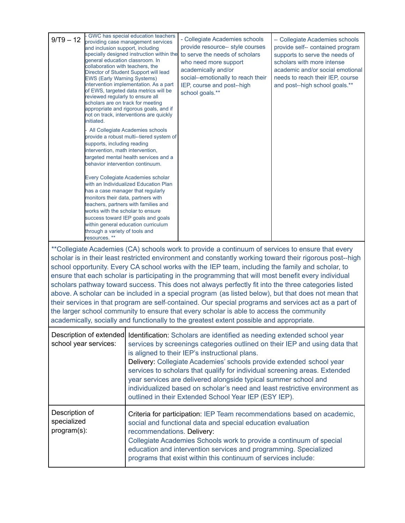| $9/T9 - 12$                                  | - GWC has special education teachers<br>providing case management services<br>and inclusion support, including<br>specially designed instruction within the<br>general education classroom. In<br>collaboration with teachers, the<br>Director of Student Support will lead<br><b>EWS (Early Warning Systems)</b><br>intervention implementation. As a part<br>of EWS, targeted data metrics will be<br>reviewed regularly to ensure all<br>scholars are on track for meeting<br>appropriate and rigorous goals, and if<br>not on track, interventions are quickly<br>initiated.<br>All Collegiate Academies schools<br>provide a robust multi--tiered system of<br>supports, including reading<br>intervention, math intervention,<br>targeted mental health services and a<br>behavior intervention continuum.<br>Every Collegiate Academies scholar<br>with an Individualized Education Plan<br>has a case manager that regularly<br>monitors their data, partners with<br>teachers, partners with families and<br>works with the scholar to ensure<br>success toward IEP goals and goals<br>within general education curriculum<br>through a variety of tools and<br>resources. **<br>**Collegiate Academies (CA) schools work to provide a continuum of services to ensure that every<br>scholar is in their least restricted environment and constantly working toward their rigorous post--high<br>school opportunity. Every CA school works with the IEP team, including the family and scholar, to<br>ensure that each scholar is participating in the programming that will most benefit every individual |                            | - Collegiate Academies schools<br>provide resource-- style courses<br>to serve the needs of scholars<br>who need more support<br>academically and/or<br>social--emotionally to reach their<br>IEP, course and post--high<br>school goals.**<br>scholars pathway toward success. This does not always perfectly fit into the three categories listed                                                                                                                                                                                                                       | -- Collegiate Academies schools<br>provide self-- contained program<br>supports to serve the needs of<br>scholars with more intense<br>academic and/or social emotional<br>needs to reach their IEP, course<br>and post--high school goals.** |
|----------------------------------------------|---------------------------------------------------------------------------------------------------------------------------------------------------------------------------------------------------------------------------------------------------------------------------------------------------------------------------------------------------------------------------------------------------------------------------------------------------------------------------------------------------------------------------------------------------------------------------------------------------------------------------------------------------------------------------------------------------------------------------------------------------------------------------------------------------------------------------------------------------------------------------------------------------------------------------------------------------------------------------------------------------------------------------------------------------------------------------------------------------------------------------------------------------------------------------------------------------------------------------------------------------------------------------------------------------------------------------------------------------------------------------------------------------------------------------------------------------------------------------------------------------------------------------------------------------------------------------------------------------------------------|----------------------------|---------------------------------------------------------------------------------------------------------------------------------------------------------------------------------------------------------------------------------------------------------------------------------------------------------------------------------------------------------------------------------------------------------------------------------------------------------------------------------------------------------------------------------------------------------------------------|-----------------------------------------------------------------------------------------------------------------------------------------------------------------------------------------------------------------------------------------------|
|                                              |                                                                                                                                                                                                                                                                                                                                                                                                                                                                                                                                                                                                                                                                                                                                                                                                                                                                                                                                                                                                                                                                                                                                                                                                                                                                                                                                                                                                                                                                                                                                                                                                                     |                            | above. A scholar can be included in a special program (as listed below), but that does not mean that<br>their services in that program are self-contained. Our special programs and services act as a part of<br>the larger school community to ensure that every scholar is able to access the community<br>academically, socially and functionally to the greatest extent possible and appropriate.                                                                                                                                                                     |                                                                                                                                                                                                                                               |
|                                              | Description of extended<br>school year services:                                                                                                                                                                                                                                                                                                                                                                                                                                                                                                                                                                                                                                                                                                                                                                                                                                                                                                                                                                                                                                                                                                                                                                                                                                                                                                                                                                                                                                                                                                                                                                    |                            | Identification: Scholars are identified as needing extended school year<br>services by screenings categories outlined on their IEP and using data that<br>is aligned to their IEP's instructional plans.<br>Delivery: Collegiate Academies' schools provide extended school year<br>services to scholars that qualify for individual screening areas. Extended<br>year services are delivered alongside typical summer school and<br>individualized based on scholar's need and least restrictive environment as<br>outlined in their Extended School Year IEP (ESY IEP). |                                                                                                                                                                                                                                               |
| Description of<br>specialized<br>program(s): |                                                                                                                                                                                                                                                                                                                                                                                                                                                                                                                                                                                                                                                                                                                                                                                                                                                                                                                                                                                                                                                                                                                                                                                                                                                                                                                                                                                                                                                                                                                                                                                                                     | recommendations. Delivery: | Criteria for participation: IEP Team recommendations based on academic,<br>social and functional data and special education evaluation<br>Collegiate Academies Schools work to provide a continuum of special<br>education and intervention services and programming. Specialized<br>programs that exist within this continuum of services include:                                                                                                                                                                                                                       |                                                                                                                                                                                                                                               |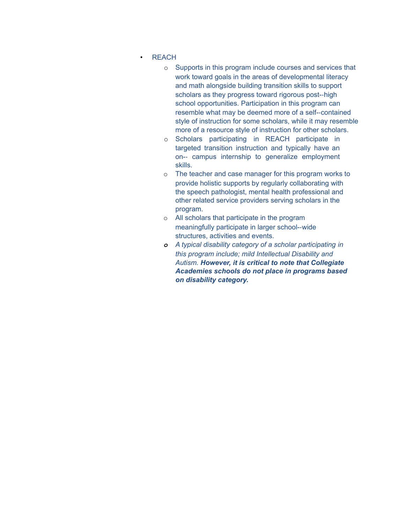- REACH
	- o Supports in this program include courses and services that work toward goals in the areas of developmental literacy and math alongside building transition skills to support scholars as they progress toward rigorous post-‐high school opportunities. Participation in this program can resemble what may be deemed more of a self-‐contained style of instruction for some scholars, while it may resemble more of a resource style of instruction for other scholars.
	- o Scholars participating in REACH participate in targeted transition instruction and typically have an on-‐ campus internship to generalize employment skills.
	- o The teacher and case manager for this program works to provide holistic supports by regularly collaborating with the speech pathologist, mental health professional and other related service providers serving scholars in the program.
	- o All scholars that participate in the program meaningfully participate in larger school-‐wide structures, activities and events.
	- *o A typical disability category of a scholar participating in this program include; mild Intellectual Disability and Autism. However, it is critical to note that Collegiate Academies schools do not place in programs based on disability category.*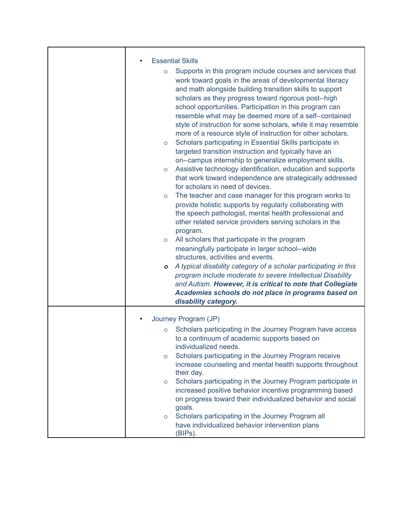| <b>Essential Skills</b>                                                                                                                                                                                                                                                                                                                                                                                                                                                                                                                                                                                                                                                                                                                                                                                                                     |
|---------------------------------------------------------------------------------------------------------------------------------------------------------------------------------------------------------------------------------------------------------------------------------------------------------------------------------------------------------------------------------------------------------------------------------------------------------------------------------------------------------------------------------------------------------------------------------------------------------------------------------------------------------------------------------------------------------------------------------------------------------------------------------------------------------------------------------------------|
| Supports in this program include courses and services that<br>$\circ$<br>work toward goals in the areas of developmental literacy<br>and math alongside building transition skills to support<br>scholars as they progress toward rigorous post--high<br>school opportunities. Participation in this program can<br>resemble what may be deemed more of a self--contained<br>style of instruction for some scholars, while it may resemble<br>more of a resource style of instruction for other scholars.<br>Scholars participating in Essential Skills participate in<br>$\circ$<br>targeted transition instruction and typically have an<br>on--campus internship to generalize employment skills.<br>Assistive technology identification, education and supports<br>$\circ$<br>that work toward independence are strategically addressed |
| for scholars in need of devices.                                                                                                                                                                                                                                                                                                                                                                                                                                                                                                                                                                                                                                                                                                                                                                                                            |
| The teacher and case manager for this program works to<br>$\circ$<br>provide holistic supports by regularly collaborating with<br>the speech pathologist, mental health professional and<br>other related service providers serving scholars in the<br>program.                                                                                                                                                                                                                                                                                                                                                                                                                                                                                                                                                                             |
| All scholars that participate in the program<br>$\circ$                                                                                                                                                                                                                                                                                                                                                                                                                                                                                                                                                                                                                                                                                                                                                                                     |
| meaningfully participate in larger school--wide                                                                                                                                                                                                                                                                                                                                                                                                                                                                                                                                                                                                                                                                                                                                                                                             |
| structures, activities and events.                                                                                                                                                                                                                                                                                                                                                                                                                                                                                                                                                                                                                                                                                                                                                                                                          |
| A typical disability category of a scholar participating in this<br>$\circ$<br>program include moderate to severe Intellectual Disability<br>and Autism. However, it is critical to note that Collegiate<br>Academies schools do not place in programs based on<br>disability category.                                                                                                                                                                                                                                                                                                                                                                                                                                                                                                                                                     |
|                                                                                                                                                                                                                                                                                                                                                                                                                                                                                                                                                                                                                                                                                                                                                                                                                                             |
| Journey Program (JP)                                                                                                                                                                                                                                                                                                                                                                                                                                                                                                                                                                                                                                                                                                                                                                                                                        |
| Scholars participating in the Journey Program have access<br>$\circ$<br>to a continuum of academic supports based on<br>individualized needs.                                                                                                                                                                                                                                                                                                                                                                                                                                                                                                                                                                                                                                                                                               |
| Scholars participating in the Journey Program receive<br>$\circ$<br>increase counseling and mental health supports throughout<br>their day.                                                                                                                                                                                                                                                                                                                                                                                                                                                                                                                                                                                                                                                                                                 |
| Scholars participating in the Journey Program participate in<br>$\circ$<br>increased positive behavior incentive programming based<br>on progress toward their individualized behavior and social<br>goals.                                                                                                                                                                                                                                                                                                                                                                                                                                                                                                                                                                                                                                 |
| Scholars participating in the Journey Program all<br>$\circ$<br>have individualized behavior intervention plans<br>(BIPs).                                                                                                                                                                                                                                                                                                                                                                                                                                                                                                                                                                                                                                                                                                                  |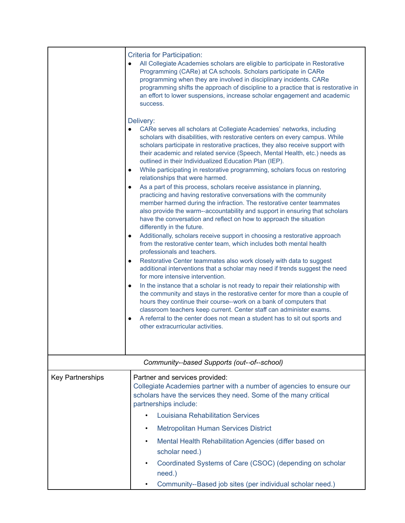|                         | <b>Criteria for Participation:</b><br>All Collegiate Academies scholars are eligible to participate in Restorative<br>Programming (CARe) at CA schools. Scholars participate in CARe<br>programming when they are involved in disciplinary incidents. CARe<br>programming shifts the approach of discipline to a practice that is restorative in<br>an effort to lower suspensions, increase scholar engagement and academic<br>success.<br>Delivery:<br>CARe serves all scholars at Collegiate Academies' networks, including                                                                                                                                                                                                                                                                                                                                                                                                                                                                                                                                                                                     |
|-------------------------|--------------------------------------------------------------------------------------------------------------------------------------------------------------------------------------------------------------------------------------------------------------------------------------------------------------------------------------------------------------------------------------------------------------------------------------------------------------------------------------------------------------------------------------------------------------------------------------------------------------------------------------------------------------------------------------------------------------------------------------------------------------------------------------------------------------------------------------------------------------------------------------------------------------------------------------------------------------------------------------------------------------------------------------------------------------------------------------------------------------------|
|                         | scholars with disabilities, with restorative centers on every campus. While<br>scholars participate in restorative practices, they also receive support with<br>their academic and related service (Speech, Mental Health, etc.) needs as<br>outlined in their Individualized Education Plan (IEP).<br>While participating in restorative programming, scholars focus on restoring<br>$\bullet$<br>relationships that were harmed.<br>As a part of this process, scholars receive assistance in planning,<br>$\bullet$<br>practicing and having restorative conversations with the community<br>member harmed during the infraction. The restorative center teammates<br>also provide the warm--accountability and support in ensuring that scholars<br>have the conversation and reflect on how to approach the situation<br>differently in the future.<br>Additionally, scholars receive support in choosing a restorative approach<br>from the restorative center team, which includes both mental health<br>professionals and teachers.<br>Restorative Center teammates also work closely with data to suggest |
|                         | additional interventions that a scholar may need if trends suggest the need<br>for more intensive intervention.<br>In the instance that a scholar is not ready to repair their relationship with<br>$\bullet$<br>the community and stays in the restorative center for more than a couple of<br>hours they continue their course--work on a bank of computers that<br>classroom teachers keep current. Center staff can administer exams.<br>A referral to the center does not mean a student has to sit out sports and<br>other extracurricular activities.                                                                                                                                                                                                                                                                                                                                                                                                                                                                                                                                                       |
|                         | Community--based Supports (out--of--school)                                                                                                                                                                                                                                                                                                                                                                                                                                                                                                                                                                                                                                                                                                                                                                                                                                                                                                                                                                                                                                                                        |
| <b>Key Partnerships</b> | Partner and services provided:<br>Collegiate Academies partner with a number of agencies to ensure our<br>scholars have the services they need. Some of the many critical<br>partnerships include:                                                                                                                                                                                                                                                                                                                                                                                                                                                                                                                                                                                                                                                                                                                                                                                                                                                                                                                 |
|                         | <b>Louisiana Rehabilitation Services</b>                                                                                                                                                                                                                                                                                                                                                                                                                                                                                                                                                                                                                                                                                                                                                                                                                                                                                                                                                                                                                                                                           |
|                         | <b>Metropolitan Human Services District</b><br>٠                                                                                                                                                                                                                                                                                                                                                                                                                                                                                                                                                                                                                                                                                                                                                                                                                                                                                                                                                                                                                                                                   |
|                         | Mental Health Rehabilitation Agencies (differ based on<br>٠<br>scholar need.)                                                                                                                                                                                                                                                                                                                                                                                                                                                                                                                                                                                                                                                                                                                                                                                                                                                                                                                                                                                                                                      |
|                         | Coordinated Systems of Care (CSOC) (depending on scholar<br>need.)                                                                                                                                                                                                                                                                                                                                                                                                                                                                                                                                                                                                                                                                                                                                                                                                                                                                                                                                                                                                                                                 |
|                         | Community--Based job sites (per individual scholar need.)                                                                                                                                                                                                                                                                                                                                                                                                                                                                                                                                                                                                                                                                                                                                                                                                                                                                                                                                                                                                                                                          |